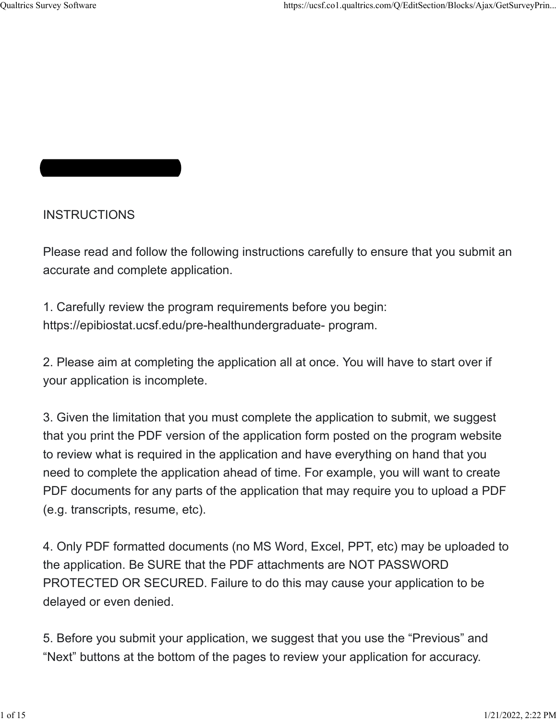# **INSTRUCTIONS**

Please read and follow the following instructions carefully to ensure that you submit an accurate and complete application.

1. Carefully review the program requirements before you begin: https://epibiostat.ucsf.edu/pre-healthundergraduate- program.

2. Please aim at completing the application all at once. You will have to start over if your application is incomplete.

3. Given the limitation that you must complete the application to submit, we suggest that you print the PDF version of the application form posted on the program website to review what is required in the application and have everything on hand that you need to complete the application ahead of time. For example, you will want to create PDF documents for any parts of the application that may require you to upload a PDF (e.g. transcripts, resume, etc).

4. Only PDF formatted documents (no MS Word, Excel, PPT, etc) may be uploaded to the application. Be SURE that the PDF attachments are NOT PASSWORD PROTECTED OR SECURED. Failure to do this may cause your application to be delayed or even denied.

5. Before you submit your application, we suggest that you use the "Previous" and "Next" buttons at the bottom of the pages to review your application for accuracy.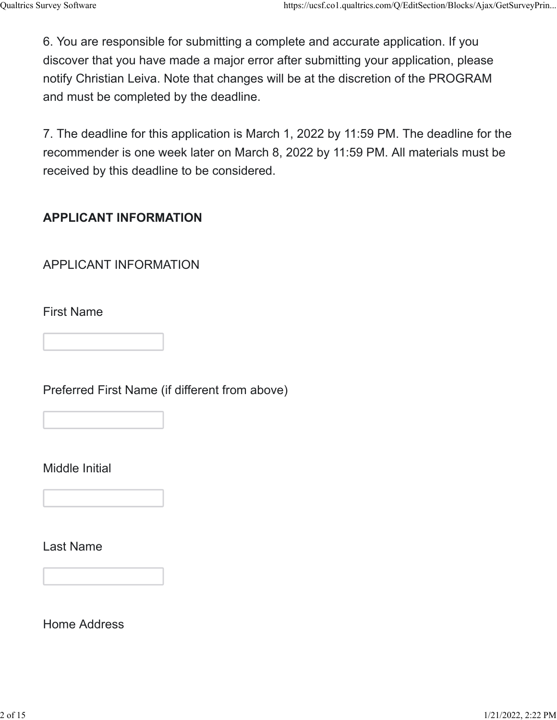6. You are responsible for submitting a complete and accurate application. If you discover that you have made a major error after submitting your application, please notify Christian Leiva. Note that changes will be at the discretion of the PROGRAM and must be completed by the deadline.

7. The deadline for this application is March 1, 2022 by 11:59 PM. The deadline for the recommender is one week later on March 8, 2022 by 11:59 PM. All materials must be received by this deadline to be considered.

### **APPLICANT INFORMATION**

APPLICANT INFORMATION

First Name

Preferred First Name (if different from above)

Middle Initial

Last Name

Home Address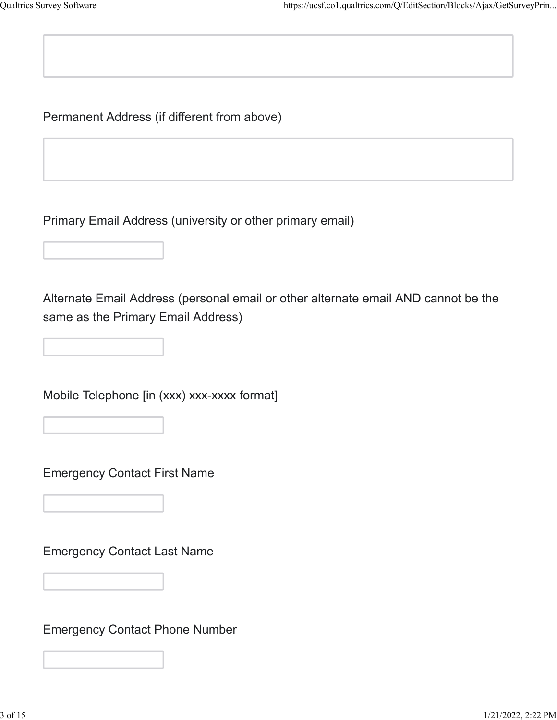Permanent Address (if different from above)

Primary Email Address (university or other primary email)

Alternate Email Address (personal email or other alternate email AND cannot be the same as the Primary Email Address)

Mobile Telephone [in (xxx) xxx-xxxx format]

Emergency Contact First Name

Emergency Contact Last Name

Emergency Contact Phone Number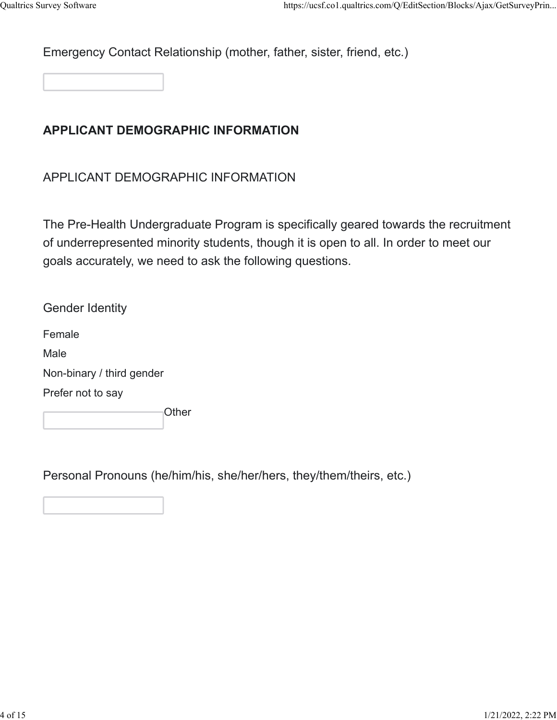Emergency Contact Relationship (mother, father, sister, friend, etc.)

## **APPLICANT DEMOGRAPHIC INFORMATION**

APPLICANT DEMOGRAPHIC INFORMATION

The Pre-Health Undergraduate Program is specifically geared towards the recruitment of underrepresented minority students, though it is open to all. In order to meet our goals accurately, we need to ask the following questions.

Gender Identity Female Male Non-binary / third gender Prefer not to say **Other** 

Personal Pronouns (he/him/his, she/her/hers, they/them/theirs, etc.)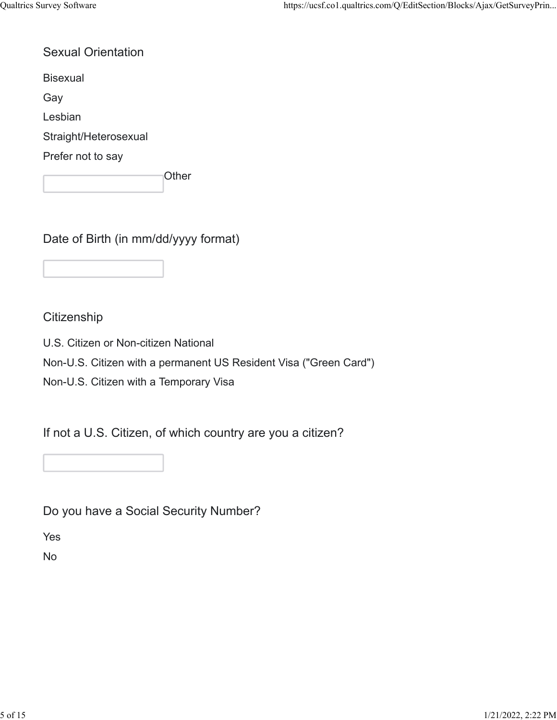### Sexual Orientation

Bisexual

Gay

Lesbian

Straight/Heterosexual

Prefer not to say

**Other** 

Date of Birth (in mm/dd/yyyy format)

### **Citizenship**

U.S. Citizen or Non-citizen National

Non-U.S. Citizen with a permanent US Resident Visa ("Green Card")

Non-U.S. Citizen with a Temporary Visa

If not a U.S. Citizen, of which country are you a citizen?

Do you have a Social Security Number?

Yes

No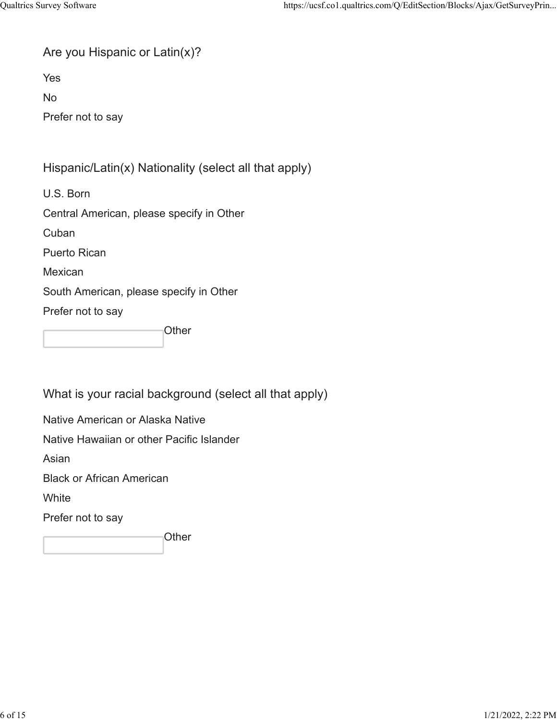|  | Are you Hispanic or Latin(x)? |  |  |
|--|-------------------------------|--|--|
|  |                               |  |  |

Yes

No

Prefer not to say

### Hispanic/Latin(x) Nationality (select all that apply)

U.S. Born

Central American, please specify in Other

**Cuban** 

Puerto Rican

Mexican

South American, please specify in Other

Prefer not to say

**Other** 

What is your racial background (select all that apply)

Native American or Alaska Native

Native Hawaiian or other Pacific Islander

Asian

Black or African American

**White** 

Prefer not to say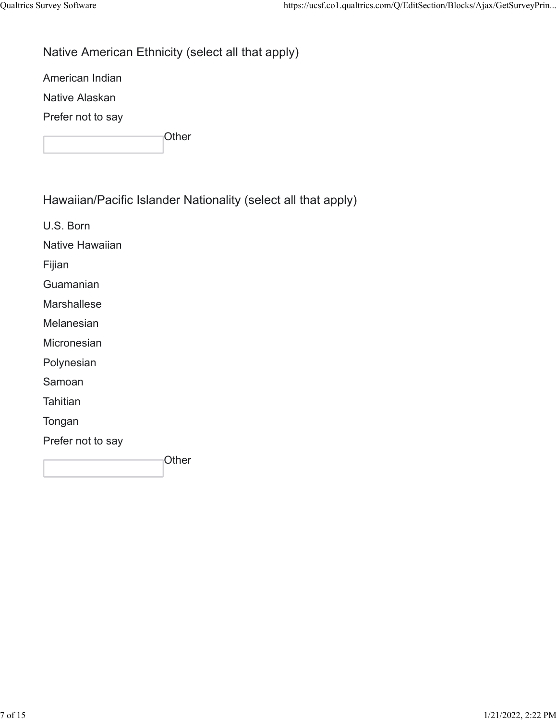# Native American Ethnicity (select all that apply)

American Indian

Native Alaskan

Prefer not to say

**Other** 

Hawaiian/Pacific Islander Nationality (select all that apply)

U.S. Born

Native Hawaiian

Fijian

Guamanian

Marshallese

Melanesian

**Micronesian** 

Polynesian

Samoan

**Tahitian** 

Tongan

Prefer not to say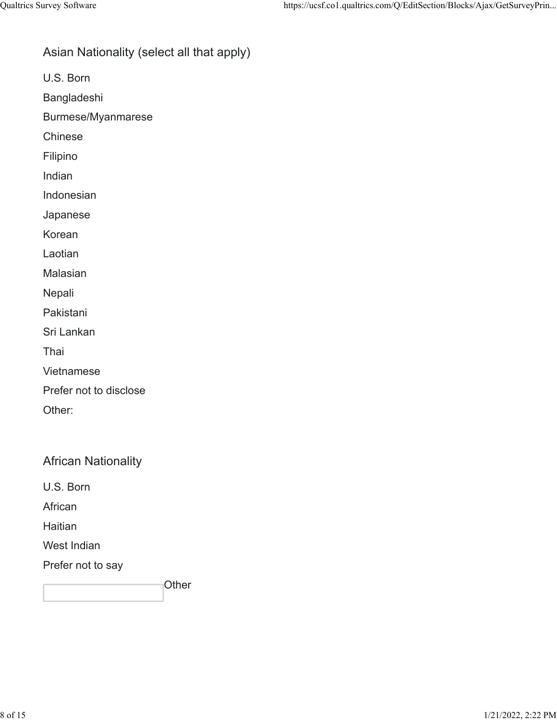### Asian Nationality (select all that apply)

U.S. Born

Bangladeshi

Burmese/Myanmarese

Chinese

Filipino

Indian

Indonesian

Japanese

Korean

Laotian

Malasian

Nepali

Pakistani

Sri Lankan

Thai

Vietnamese

Prefer not to disclose

Other:

African Nationality

U.S. Born

African

Haitian

West Indian

Prefer not to say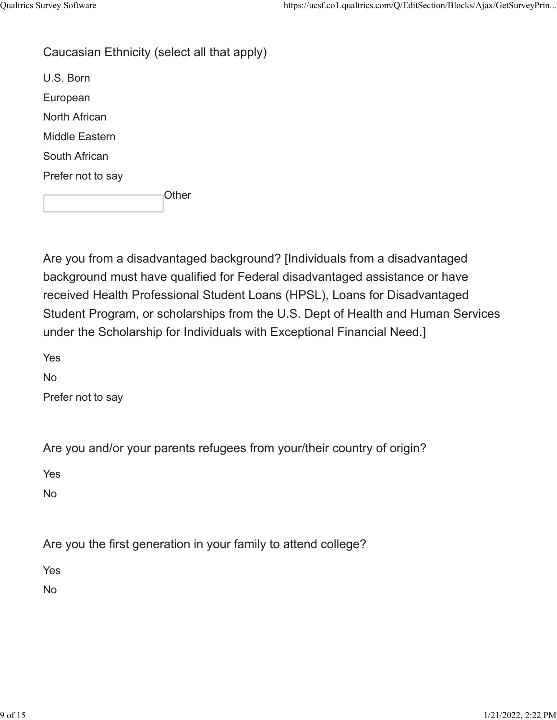#### Caucasian Ethnicity (select all that apply)

U.S. Born European North African Middle Eastern South African Prefer not to say

**Other** 

Are you from a disadvantaged background? [Individuals from a disadvantaged background must have qualified for Federal disadvantaged assistance or have received Health Professional Student Loans (HPSL), Loans for Disadvantaged Student Program, or scholarships from the U.S. Dept of Health and Human Services under the Scholarship for Individuals with Exceptional Financial Need.]

Yes

No

Prefer not to say

Are you and/or your parents refugees from your/their country of origin?

Yes

No

Are you the first generation in your family to attend college?

Yes

No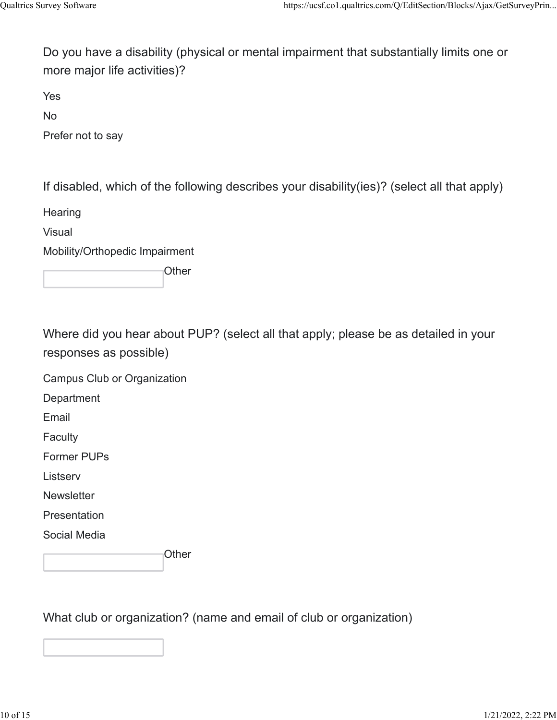Do you have a disability (physical or mental impairment that substantially limits one or more major life activities)?

Yes

No

Prefer not to say

If disabled, which of the following describes your disability(ies)? (select all that apply)

**Hearing** 

Visual

Mobility/Orthopedic Impairment

**Other** 

Where did you hear about PUP? (select all that apply; please be as detailed in your responses as possible)

Campus Club or Organization

**Department** 

Email

**Faculty** 

Former PUPs

**Listserv** 

**Newsletter** 

**Presentation** 

Social Media

**Other** 

What club or organization? (name and email of club or organization)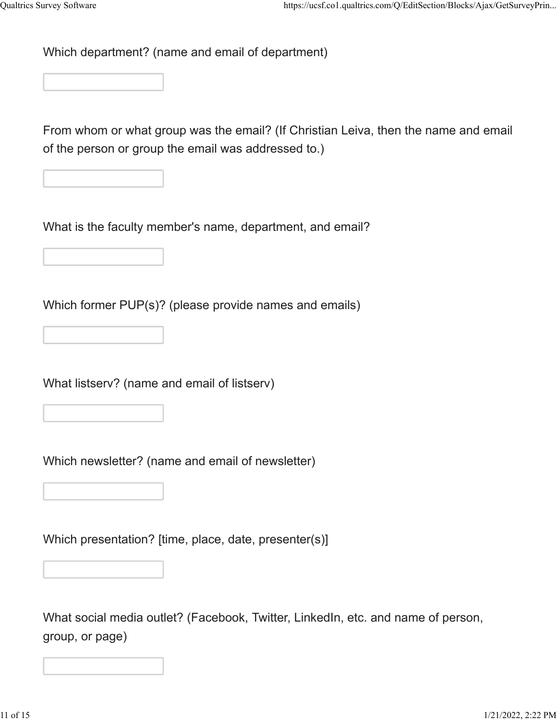Which department? (name and email of department)

From whom or what group was the email? (If Christian Leiva, then the name and email of the person or group the email was addressed to.)

What is the faculty member's name, department, and email?

Which former PUP(s)? (please provide names and emails)

What listserv? (name and email of listserv)

Which newsletter? (name and email of newsletter)

Which presentation? [time, place, date, presenter(s)]

What social media outlet? (Facebook, Twitter, LinkedIn, etc. and name of person, group, or page)

 $1/21/2022, 2:22 \text{ PM}$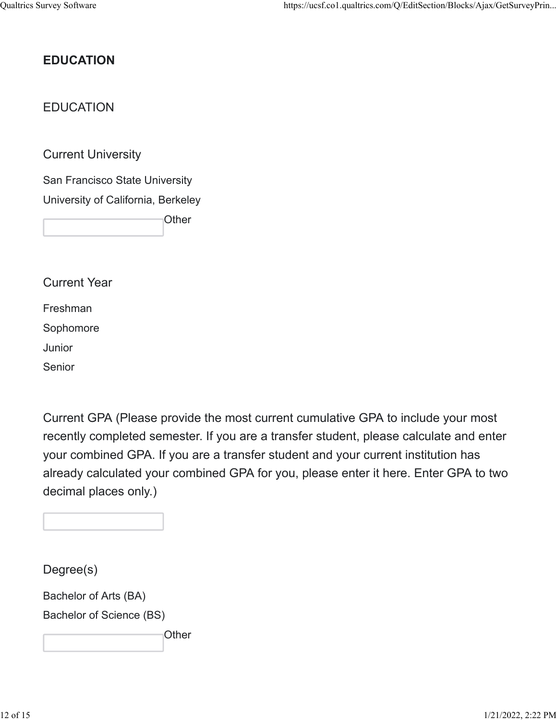# **EDUCATION**

## EDUCATION

Current University

San Francisco State University University of California, Berkeley

**Other** 

Current Year

Freshman

Sophomore

Junior

Senior

Current GPA (Please provide the most current cumulative GPA to include your most recently completed semester. If you are a transfer student, please calculate and enter your combined GPA. If you are a transfer student and your current institution has already calculated your combined GPA for you, please enter it here. Enter GPA to two decimal places only.)

Degree(s)

Bachelor of Arts (BA)

Bachelor of Science (BS)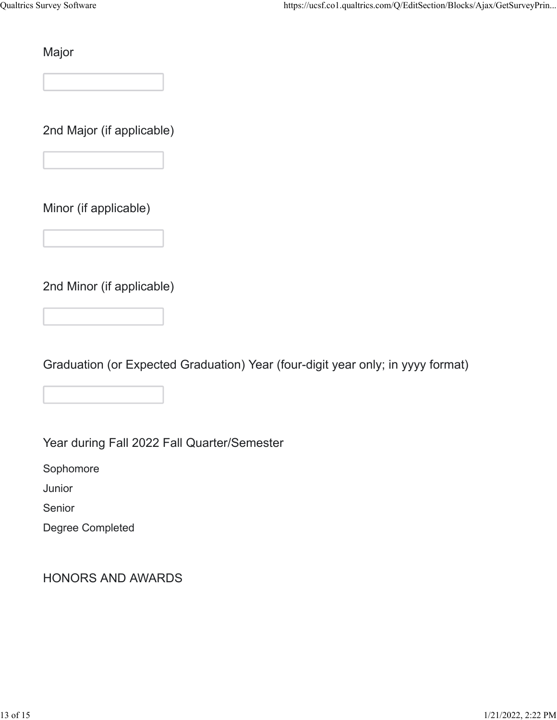Major

2nd Major (if applicable)

Minor (if applicable)

2nd Minor (if applicable)

Graduation (or Expected Graduation) Year (four-digit year only; in yyyy format)

Year during Fall 2022 Fall Quarter/Semester

Sophomore

Junior

Senior

Degree Completed

HONORS AND AWARDS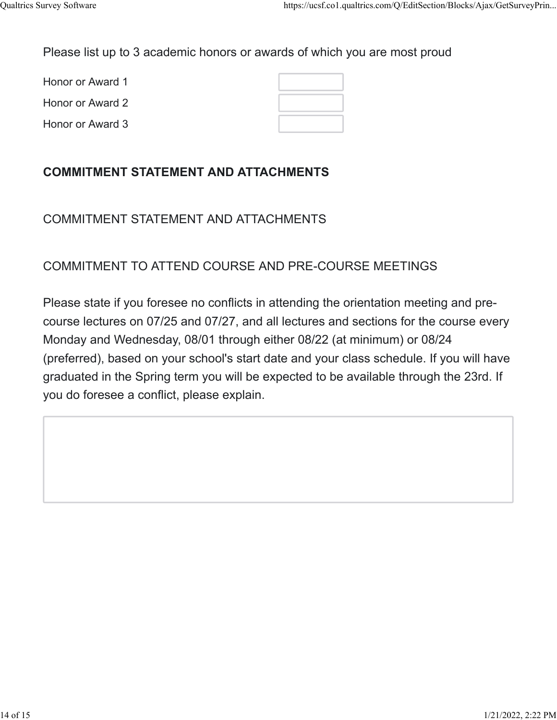Please list up to 3 academic honors or awards of which you are most proud

Honor or Award 1 Honor or Award 2

Honor or Award 3

# **COMMITMENT STATEMENT AND ATTACHMENTS**

COMMITMENT STATEMENT AND ATTACHMENTS

## COMMITMENT TO ATTEND COURSE AND PRE-COURSE MEETINGS

Please state if you foresee no conflicts in attending the orientation meeting and precourse lectures on 07/25 and 07/27, and all lectures and sections for the course every Monday and Wednesday, 08/01 through either 08/22 (at minimum) or 08/24 (preferred), based on your school's start date and your class schedule. If you will have graduated in the Spring term you will be expected to be available through the 23rd. If you do foresee a conflict, please explain.